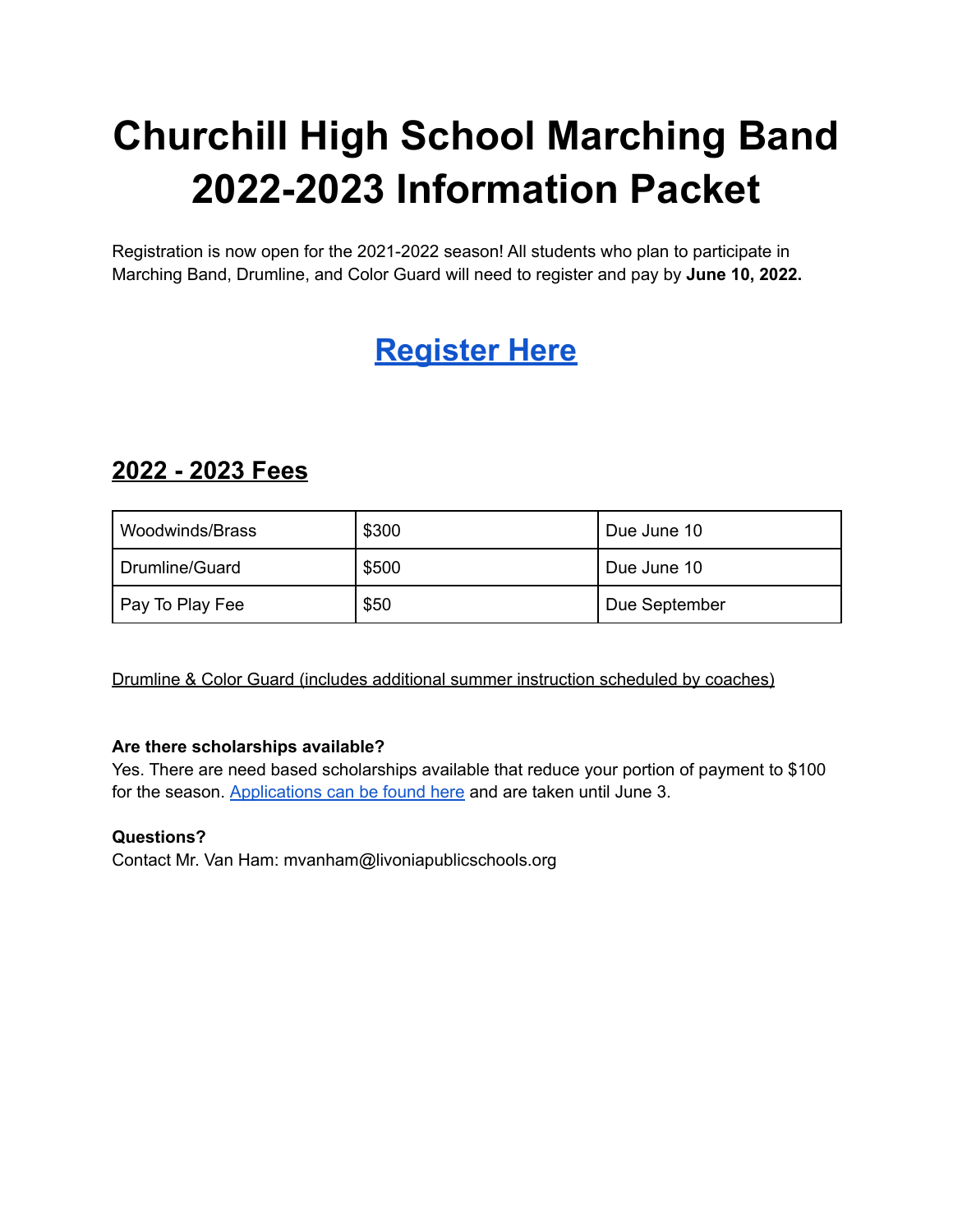# **Churchill High School Marching Band 2022-2023 Information Packet**

Registration is now open for the 2021-2022 season! All students who plan to participate in Marching Band, Drumline, and Color Guard will need to register and pay by **June 10, 2022.**

## **[Register](https://docs.google.com/forms/d/e/1FAIpQLSc6icnqmsDDE7CvqUa7DfBLRNlbC9yzgw3G-WLXcIy2YHRHqg/viewform?usp=sf_link) Here**

### **2022 - 2023 Fees**

| Woodwinds/Brass | \$300 | Due June 10   |
|-----------------|-------|---------------|
| Drumline/Guard  | \$500 | Due June 10   |
| Pay To Play Fee | \$50  | Due September |

Drumline & Color Guard (includes additional summer instruction scheduled by coaches)

#### **Are there scholarships available?**

Yes. There are need based scholarships available that reduce your portion of payment to \$100 for the season. [Applications](https://docs.google.com/forms/d/e/1FAIpQLScmmvt4LQF6VxcC9zGoS2bJINEA2YiYAX7a1ABoB0u8vWHzuQ/viewform?usp=sf_link) can be found here and are taken until June 3.

#### **Questions?**

Contact Mr. Van Ham: mvanham@livoniapublicschools.org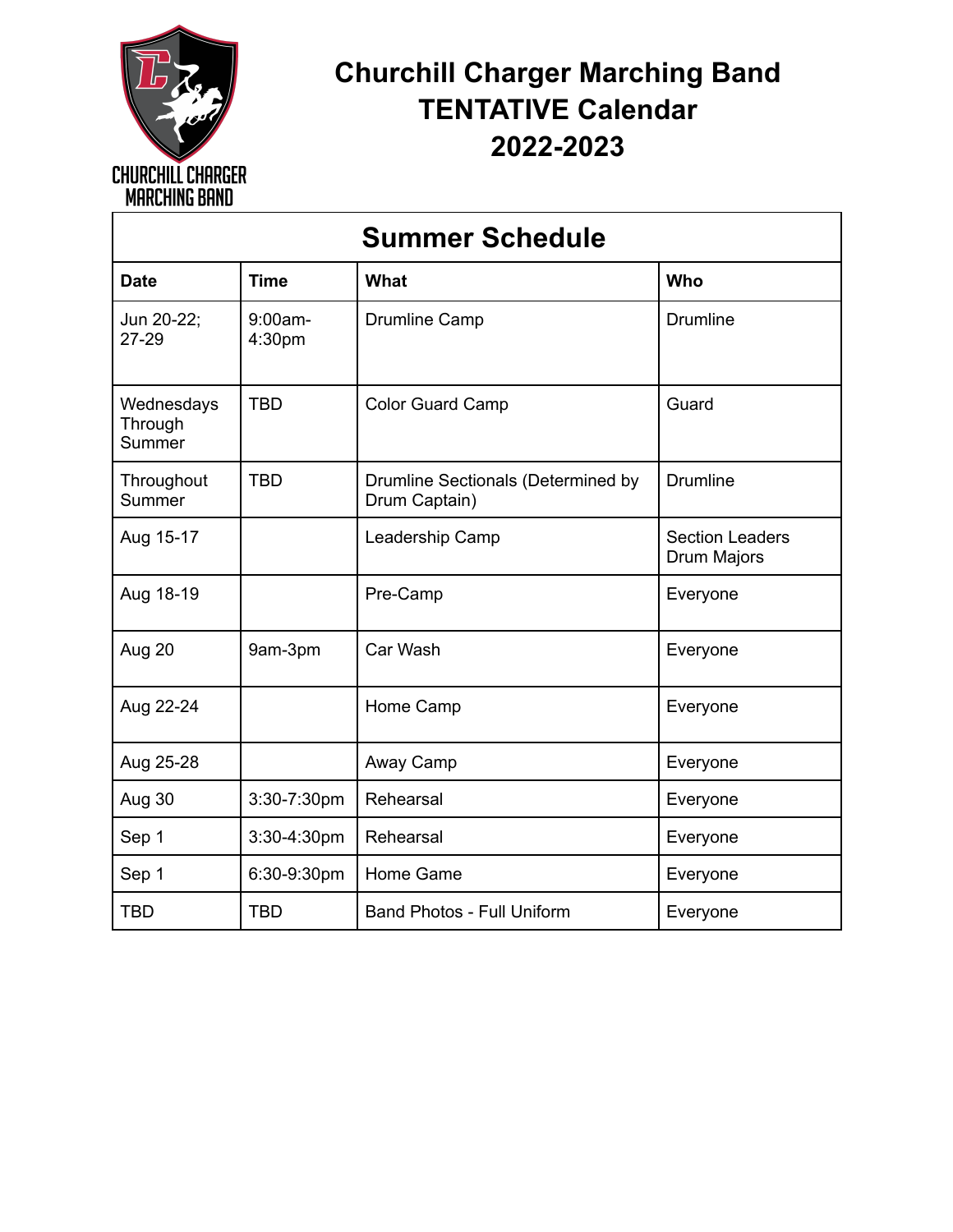

### **Churchill Charger Marching Band TENTATIVE Calendar 2022-2023**

| <b>Summer Schedule</b>          |                   |                                                     |                                              |  |  |
|---------------------------------|-------------------|-----------------------------------------------------|----------------------------------------------|--|--|
| <b>Date</b>                     | <b>Time</b>       | What                                                | Who                                          |  |  |
| Jun 20-22;<br>$27-29$           | 9:00am-<br>4:30pm | Drumline Camp                                       | <b>Drumline</b>                              |  |  |
| Wednesdays<br>Through<br>Summer | <b>TBD</b>        | <b>Color Guard Camp</b>                             | Guard                                        |  |  |
| Throughout<br>Summer            | <b>TBD</b>        | Drumline Sectionals (Determined by<br>Drum Captain) | <b>Drumline</b>                              |  |  |
| Aug 15-17                       |                   | Leadership Camp                                     | <b>Section Leaders</b><br><b>Drum Majors</b> |  |  |
| Aug 18-19                       |                   | Pre-Camp                                            | Everyone                                     |  |  |
| Aug 20                          | 9am-3pm           | Car Wash                                            | Everyone                                     |  |  |
| Aug 22-24                       |                   | Home Camp                                           | Everyone                                     |  |  |
| Aug 25-28                       |                   | Away Camp                                           | Everyone                                     |  |  |
| Aug 30                          | 3:30-7:30pm       | Rehearsal                                           | Everyone                                     |  |  |
| Sep 1                           | 3:30-4:30pm       | Rehearsal                                           | Everyone                                     |  |  |
| Sep 1                           | 6:30-9:30pm       | Home Game                                           | Everyone                                     |  |  |
| <b>TBD</b>                      | <b>TBD</b>        | <b>Band Photos - Full Uniform</b>                   | Everyone                                     |  |  |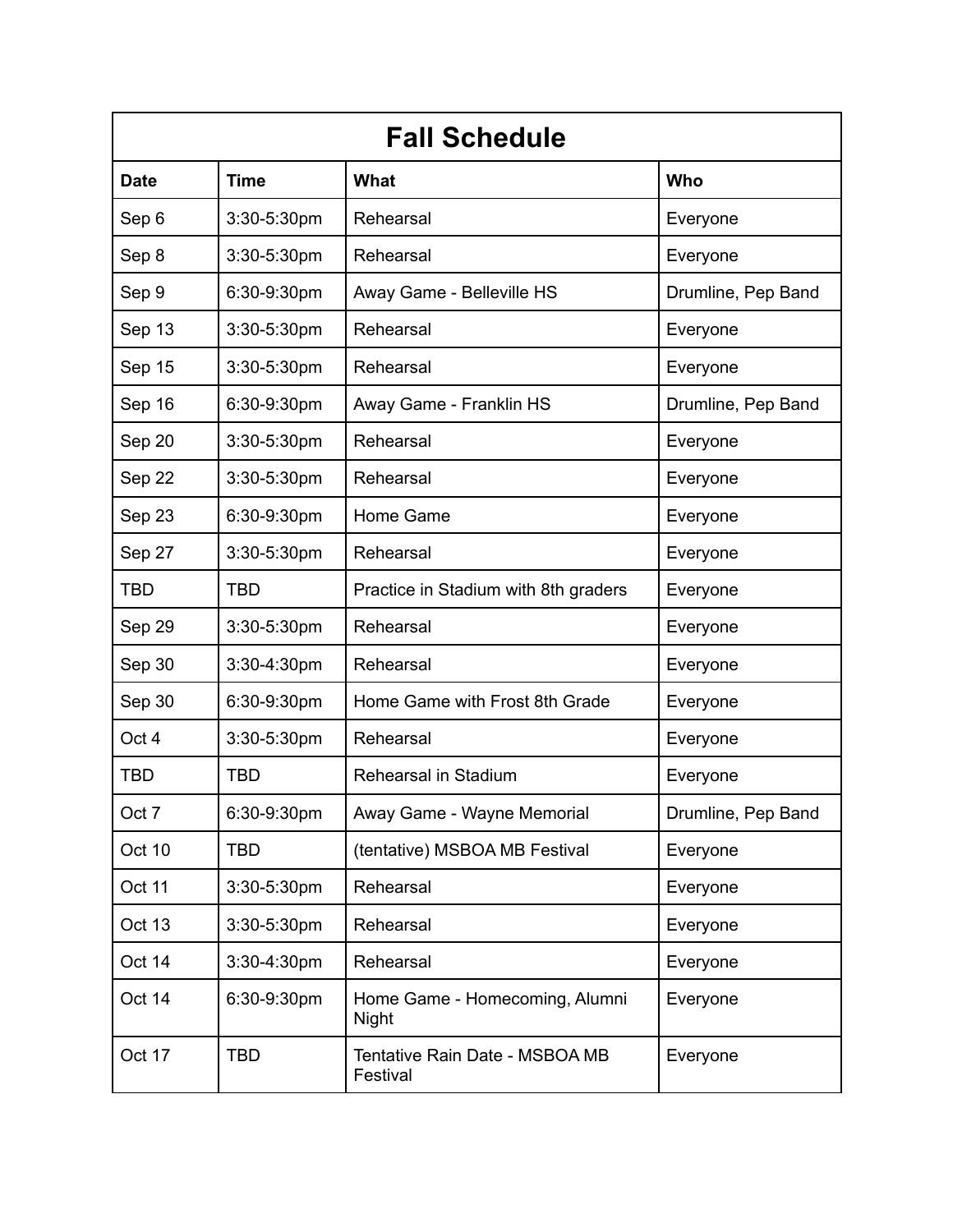| <b>Fall Schedule</b> |             |                                            |                    |  |
|----------------------|-------------|--------------------------------------------|--------------------|--|
| <b>Date</b>          | <b>Time</b> | <b>What</b>                                | Who                |  |
| Sep 6                | 3:30-5:30pm | Rehearsal                                  | Everyone           |  |
| Sep 8                | 3:30-5:30pm | Rehearsal                                  | Everyone           |  |
| Sep 9                | 6:30-9:30pm | Away Game - Belleville HS                  | Drumline, Pep Band |  |
| Sep 13               | 3:30-5:30pm | Rehearsal                                  | Everyone           |  |
| Sep 15               | 3:30-5:30pm | Rehearsal                                  | Everyone           |  |
| Sep 16               | 6:30-9:30pm | Away Game - Franklin HS                    | Drumline, Pep Band |  |
| Sep 20               | 3:30-5:30pm | Rehearsal                                  | Everyone           |  |
| Sep 22               | 3:30-5:30pm | Rehearsal                                  | Everyone           |  |
| Sep 23               | 6:30-9:30pm | Home Game                                  | Everyone           |  |
| Sep 27               | 3:30-5:30pm | Rehearsal                                  | Everyone           |  |
| <b>TBD</b>           | <b>TBD</b>  | Practice in Stadium with 8th graders       | Everyone           |  |
| Sep 29               | 3:30-5:30pm | Rehearsal                                  | Everyone           |  |
| Sep 30               | 3:30-4:30pm | Rehearsal                                  | Everyone           |  |
| Sep 30               | 6:30-9:30pm | Home Game with Frost 8th Grade             | Everyone           |  |
| Oct 4                | 3:30-5:30pm | Rehearsal                                  | Everyone           |  |
| <b>TBD</b>           | <b>TBD</b>  | Rehearsal in Stadium                       | Everyone           |  |
| Oct 7                | 6:30-9:30pm | Away Game - Wayne Memorial                 | Drumline, Pep Band |  |
| Oct 10               | <b>TBD</b>  | (tentative) MSBOA MB Festival              | Everyone           |  |
| Oct 11               | 3:30-5:30pm | Rehearsal                                  | Everyone           |  |
| Oct 13               | 3:30-5:30pm | Rehearsal                                  | Everyone           |  |
| Oct 14               | 3:30-4:30pm | Rehearsal                                  | Everyone           |  |
| Oct 14               | 6:30-9:30pm | Home Game - Homecoming, Alumni<br>Night    | Everyone           |  |
| Oct 17               | <b>TBD</b>  | Tentative Rain Date - MSBOA MB<br>Festival | Everyone           |  |